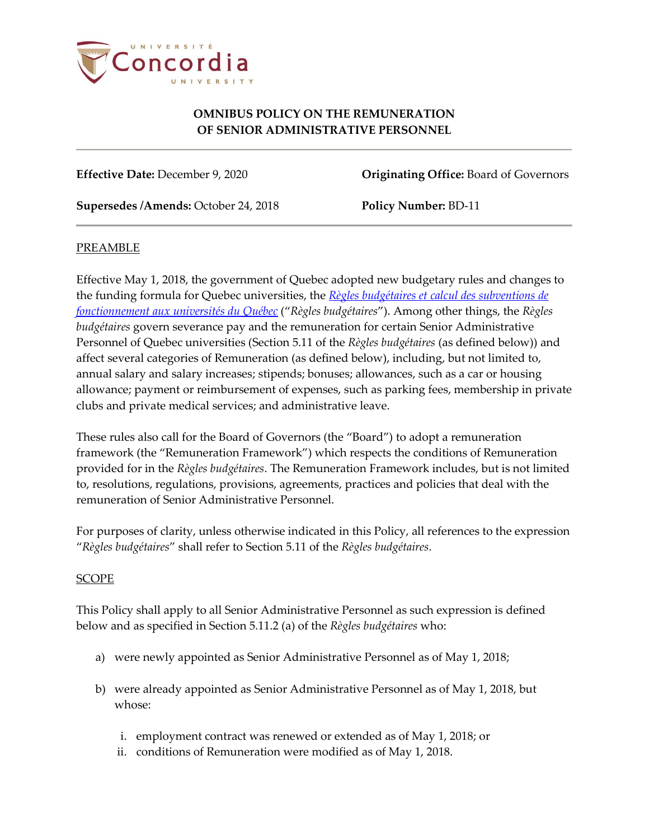

### **OMNIBUS POLICY ON THE REMUNERATION OF SENIOR ADMINISTRATIVE PERSONNEL**

**Effective Date:** December 9, 2020 **Originating Office:** Board of Governors

**Supersedes /Amends:** October 24, 2018 **Policy Number:** BD-11

### PREAMBLE

Effective May 1, 2018, the government of Quebec adopted new budgetary rules and changes to the funding formula for Quebec universities, the *[Règles budgétaires et calcul des subventions de](http://www.education.gouv.qc.ca/universites/professeurs-et-personnel-duniversite/regles-budgetaires-et-reddition-de-comptes/calculs-des-subventions/)  [fonctionnement aux universités du Québec](http://www.education.gouv.qc.ca/universites/professeurs-et-personnel-duniversite/regles-budgetaires-et-reddition-de-comptes/calculs-des-subventions/)* ("*Règles budgétaires*"). Among other things, the *Règles budgétaires* govern severance pay and the remuneration for certain Senior Administrative Personnel of Quebec universities (Section 5.11 of the *Règles budgétaires* (as defined below)) and affect several categories of Remuneration (as defined below), including, but not limited to, annual salary and salary increases; stipends; bonuses; allowances, such as a car or housing allowance; payment or reimbursement of expenses, such as parking fees, membership in private clubs and private medical services; and administrative leave.

These rules also call for the Board of Governors (the "Board") to adopt a remuneration framework (the "Remuneration Framework") which respects the conditions of Remuneration provided for in the *Règles budgétaires*. The Remuneration Framework includes, but is not limited to, resolutions, regulations, provisions, agreements, practices and policies that deal with the remuneration of Senior Administrative Personnel.

For purposes of clarity, unless otherwise indicated in this Policy, all references to the expression "*Règles budgétaires*" shall refer to Section 5.11 of the *Règles budgétaires*.

# SCOPE

This Policy shall apply to all Senior Administrative Personnel as such expression is defined below and as specified in Section 5.11.2 (a) of the *Règles budgétaires* who:

- a) were newly appointed as Senior Administrative Personnel as of May 1, 2018;
- b) were already appointed as Senior Administrative Personnel as of May 1, 2018, but whose:
	- i. employment contract was renewed or extended as of May 1, 2018; or
	- ii. conditions of Remuneration were modified as of May 1, 2018.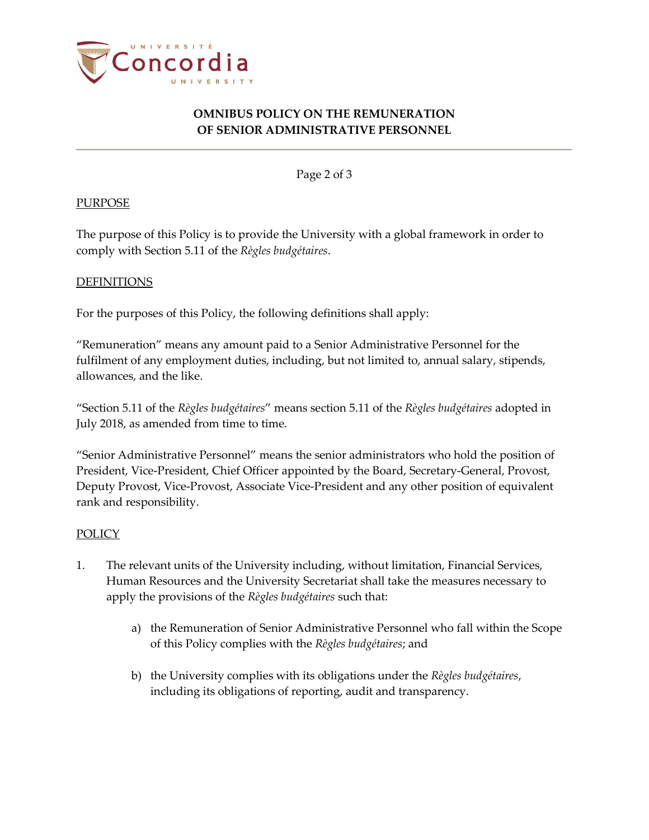

# **OMNIBUS POLICY ON THE REMUNERATION OF SENIOR ADMINISTRATIVE PERSONNEL**

Page 2 of 3

### **PURPOSE**

The purpose of this Policy is to provide the University with a global framework in order to comply with Section 5.11 of the *Règles budgétaires*.

#### **DEFINITIONS**

For the purposes of this Policy, the following definitions shall apply:

"Remuneration" means any amount paid to a Senior Administrative Personnel for the fulfilment of any employment duties, including, but not limited to, annual salary, stipends, allowances, and the like.

"Section 5.11 of the *Règles budgétaires*" means section 5.11 of the *Règles budgétaires* adopted in July 2018, as amended from time to time.

"Senior Administrative Personnel" means the senior administrators who hold the position of President, Vice-President, Chief Officer appointed by the Board, Secretary-General, Provost, Deputy Provost, Vice-Provost, Associate Vice-President and any other position of equivalent rank and responsibility.

#### POLICY

- 1. The relevant units of the University including, without limitation, Financial Services, Human Resources and the University Secretariat shall take the measures necessary to apply the provisions of the *Règles budgétaires* such that:
	- a) the Remuneration of Senior Administrative Personnel who fall within the Scope of this Policy complies with the *Règles budgétaires*; and
	- b) the University complies with its obligations under the *Règles budgétaires*, including its obligations of reporting, audit and transparency.